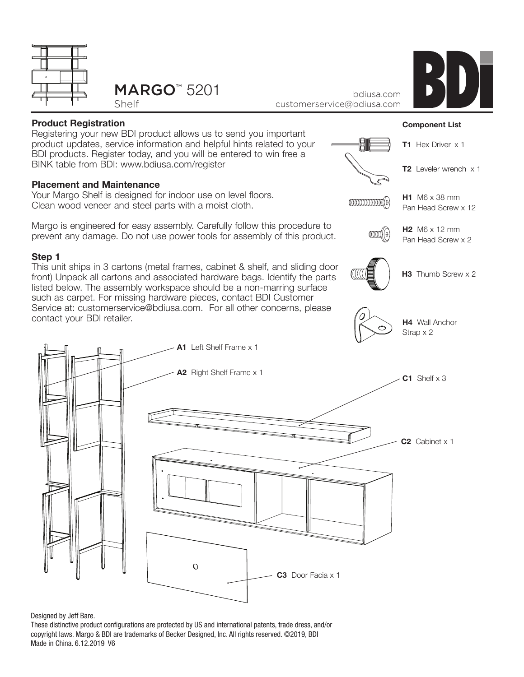



Shelf

bdiusa.com customerservice@bdiusa.com



### **Product Registration**

Registering your new BDI product allows us to send you important product updates, service information and helpful hints related to your BDI products. Register today, and you will be entered to win free a BINK table from BDI: www.bdiusa.com/register

### **Placement and Maintenance**

Your Margo Shelf is designed for indoor use on level floors. Clean wood veneer and steel parts with a moist cloth.

Margo is engineered for easy assembly. Carefully follow this procedure to prevent any damage. Do not use power tools for assembly of this product.

### **Step 1**

This unit ships in 3 cartons (metal frames, cabinet & shelf, and sliding door front) Unpack all cartons and associated hardware bags. Identify the parts listed below. The assembly workspace should be a non-marring surface such as carpet. For missing hardware pieces, contact BDI Customer Service at: customerservice@bdiusa.com. For all other concerns, please contact your BDI retailer.



#### Designed by Jeff Bare.

These distinctive product configurations are protected by US and international patents, trade dress, and/or copyright laws. Margo & BDI are trademarks of Becker Designed, Inc. All rights reserved. ©2019, BDI Made in China. 6.12.2019 V6

### **Component List**



 $\textcolor{blue}{\textcolor{blue}{\textcolor{blue}{\textbf{}}}}\textcolor{blue}{\textcolor{blue}{\textbf{}}}\textcolor{blue}{\textcolor{blue}{\textbf{}}}\textcolor{blue}{\textcolor{blue}{\textbf{}}}\textcolor{blue}{\textcolor{blue}{\textbf{}}}\textcolor{blue}{\textcolor{blue}{\textbf{}}}\textcolor{blue}{\textbf{}}\textcolor{blue}{\textbf{}}}\textcolor{blue}{\textcolor{blue}{\textbf{}}}\textcolor{blue}{\textbf{}}\textcolor{blue}{\textbf{}}}\textcolor{blue}{\textcolor{blue}{\textbf{}}}\textcolor{blue}{\textbf{}}}\textcolor{blue}{\textbf{}}\textcolor{blue}{\textbf{}}$ 





**H3** Thumb Screw x 2

**H4** Wall Anchor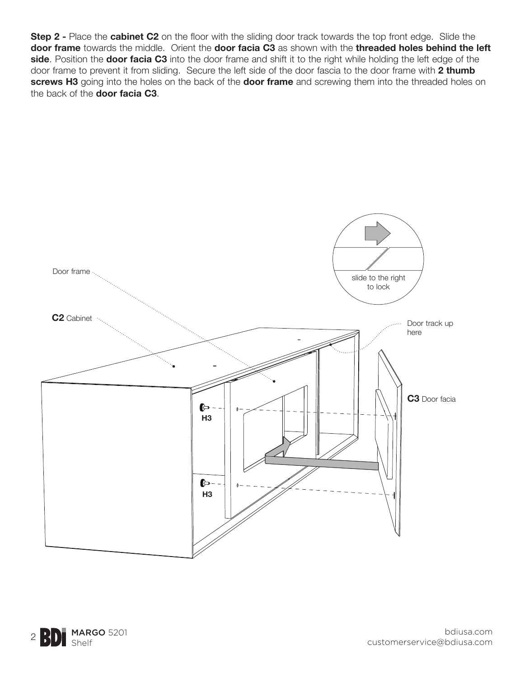**Step 2 -** Place the **cabinet C2** on the floor with the sliding door track towards the top front edge. Slide the **door frame** towards the middle. Orient the **door facia C3** as shown with the **threaded holes behind the left side**. Position the **door facia C3** into the door frame and shift it to the right while holding the left edge of the door frame to prevent it from sliding. Secure the left side of the door fascia to the door frame with **2 thumb screws H3** going into the holes on the back of the **door frame** and screwing them into the threaded holes on the back of the **door facia C3**.



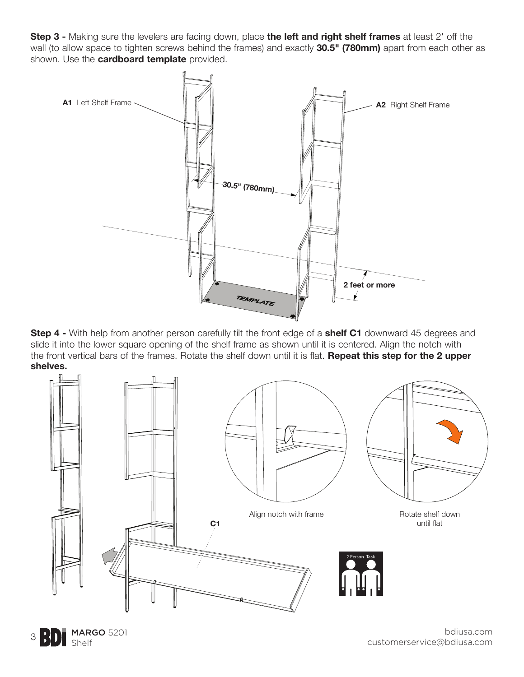**Step 3 -** Making sure the levelers are facing down, place **the left and right shelf frames** at least 2' off the wall (to allow space to tighten screws behind the frames) and exactly **30.5" (780mm)** apart from each other as shown. Use the **cardboard template** provided.



**Step 4 -** With help from another person carefully tilt the front edge of a **shelf C1** downward 45 degrees and slide it into the lower square opening of the shelf frame as shown until it is centered. Align the notch with the front vertical bars of the frames. Rotate the shelf down until it is flat. **Repeat this step for the 2 upper shelves.**



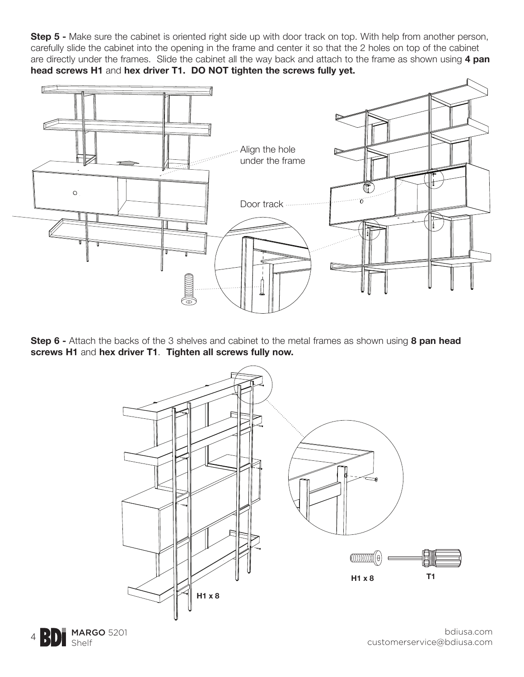**Step 5 -** Make sure the cabinet is oriented right side up with door track on top. With help from another person, carefully slide the cabinet into the opening in the frame and center it so that the 2 holes on top of the cabinet are directly under the frames. Slide the cabinet all the way back and attach to the frame as shown using **4 pan head screws H1** and **hex driver T1. DO NOT tighten the screws fully yet.**



**Step 6 -** Attach the backs of the 3 shelves and cabinet to the metal frames as shown using **8 pan head screws H1** and **hex driver T1**. **Tighten all screws fully now.** 



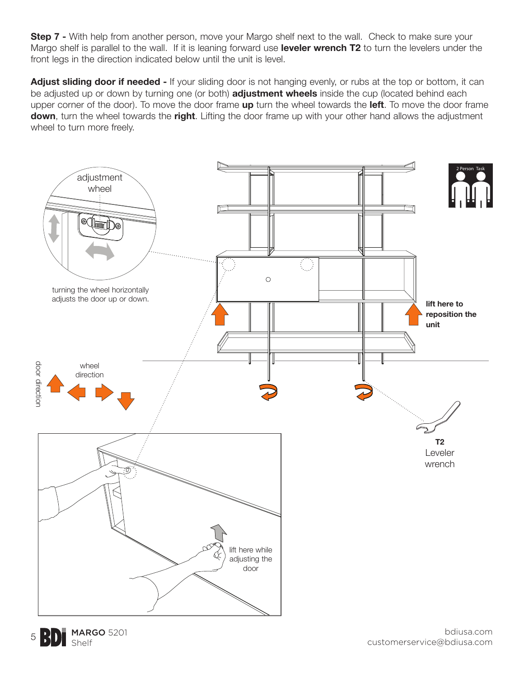**Step 7 -** With help from another person, move your Margo shelf next to the wall. Check to make sure your Margo shelf is parallel to the wall. If it is leaning forward use **leveler wrench T2** to turn the levelers under the front legs in the direction indicated below until the unit is level.

**Adjust sliding door if needed -** If your sliding door is not hanging evenly, or rubs at the top or bottom, it can be adjusted up or down by turning one (or both) **adjustment wheels** inside the cup (located behind each upper corner of the door). To move the door frame **up** turn the wheel towards the **left**. To move the door frame **down**, turn the wheel towards the **right**. Lifting the door frame up with your other hand allows the adjustment wheel to turn more freely.



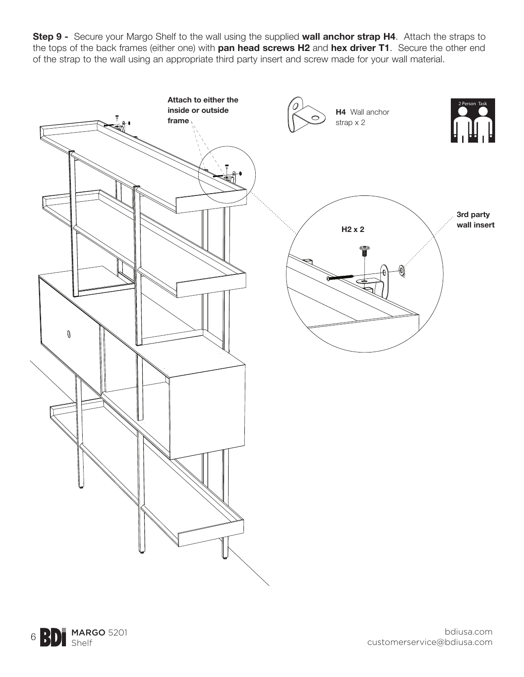**Step 9 -** Secure your Margo Shelf to the wall using the supplied **wall anchor strap H4**. Attach the straps to the tops of the back frames (either one) with **pan head screws H2** and **hex driver T1**. Secure the other end of the strap to the wall using an appropriate third party insert and screw made for your wall material.